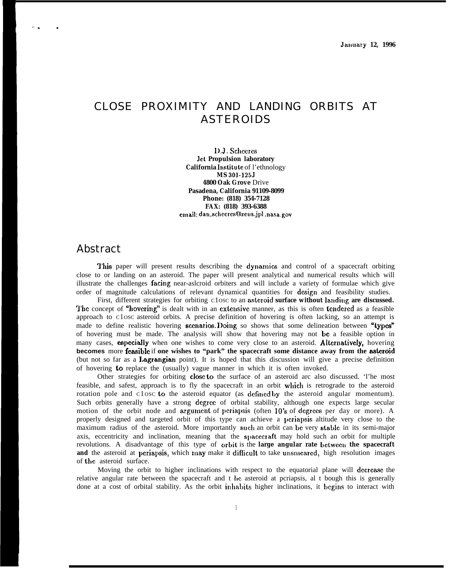## CLOSE PROXIMITY AND LANDING ORBITS AT ASTEROIDS

1).J. Schccrcs Jet **Propulsion laboratory California Institute** of l'ethnology **MS 301-125J 4800 Oak Grove** Drive **Pasadena, California 91109-8099 Phone: (818) 354-7128 FAX: (818) 393-6388 crnail: dan-schccrcs@zcus.jp l.nasa.gov**

## Abstract

,. .

This paper will present results describing the dynamics and control of a spacecraft orbiting close to or landing on an asteroid. The paper will present analytical and numerical results which will illustrate the challenges **facing** near-aslcroid orbiters and will include a variety of formulae which give order of magnitude calculations of relevant dynamical quantities for design and feasibility studies.

First, different strategies for orbiting C10SC to an asteroid surface without landing are discussed. The concept of "hovering" is dealt with in an extensive manner, as this is often tendered as a feasible approach to C1OSC asteroid orbits. A precise definition of hovering is often lacking, so an attempt is made to define realistic hovering **scenarios. Doing** so shows that some delineation between "types" of hovering must be made. The analysis will show that hovering may not be a feasible option in many cases, **especially** when one wishes to come very close to an asteroid. **Alternatively**, hovering **becomes** more **feasible** if one wishes to "park" the spacecraft some distance away from the **asteroid** (but not so far as a Lagrangian point). It is hoped that this discussion will give a precise definition of hovering to replace the (usually) vague manner in which it is often invoked.

Other strategies for orbiting close to the surface of an asteroid arc also discussed. 'l'he most feasible, and safest, approach is to fly the spacecraft in an orbit which is retrograde to the asteroid rotation pole and c1osc to the asteroid equator (as defined by the asteroid angular momentum). Such orbits generally have a strong degree of orbital stability, although one expects large secular motion of the orbit node and argument of periapsis (often  $10's$  of degrees per day or more). A properly designed and targeted orbit of this type can achieve a pcriapsis altitude very close to the maximum radius of the asteroid. More importantly such an orbit can be very stable in its semi-major axis, eccentricity and inclination, meaning that the spacecraft may hold such an orbit for multiple revolutions. A disadvantage of this type of orbit is the **large angular rate bctwccn the spacecraft and** the asteroid at periapsis, which may make it difficult to take unsmeared, high resolution images of tbc asteroid surface.

Moving the orbit to higher inclinations with respect to the equatorial plane will decrease the relative angular rate between the spacecraft and t hc asteroid at pcriapsis, al t bough this is generally done at a cost of orbital stability. As the orbit inhahits higher inclinations, it begins to interact with